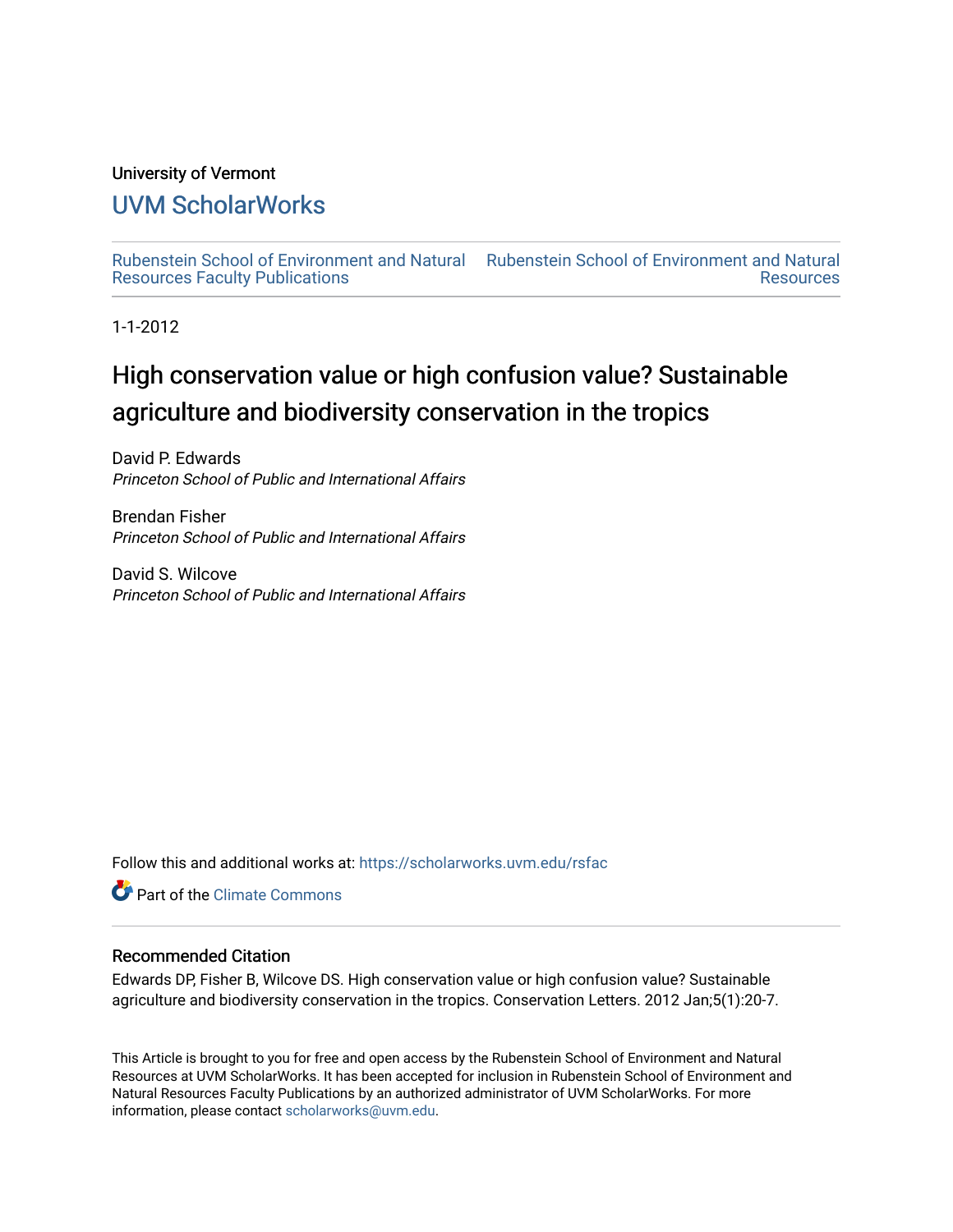## University of Vermont

## [UVM ScholarWorks](https://scholarworks.uvm.edu/)

[Rubenstein School of Environment and Natural](https://scholarworks.uvm.edu/rsfac) [Rubenstein School of Environment and Natural](https://scholarworks.uvm.edu/rs)  [Resources Faculty Publications](https://scholarworks.uvm.edu/rsfac)  **Resources** 

1-1-2012

# High conservation value or high confusion value? Sustainable agriculture and biodiversity conservation in the tropics

David P. Edwards Princeton School of Public and International Affairs

Brendan Fisher Princeton School of Public and International Affairs

David S. Wilcove Princeton School of Public and International Affairs

Follow this and additional works at: [https://scholarworks.uvm.edu/rsfac](https://scholarworks.uvm.edu/rsfac?utm_source=scholarworks.uvm.edu%2Frsfac%2F42&utm_medium=PDF&utm_campaign=PDFCoverPages) 

Part of the [Climate Commons](http://network.bepress.com/hgg/discipline/188?utm_source=scholarworks.uvm.edu%2Frsfac%2F42&utm_medium=PDF&utm_campaign=PDFCoverPages) 

## Recommended Citation

Edwards DP, Fisher B, Wilcove DS. High conservation value or high confusion value? Sustainable agriculture and biodiversity conservation in the tropics. Conservation Letters. 2012 Jan;5(1):20-7.

This Article is brought to you for free and open access by the Rubenstein School of Environment and Natural Resources at UVM ScholarWorks. It has been accepted for inclusion in Rubenstein School of Environment and Natural Resources Faculty Publications by an authorized administrator of UVM ScholarWorks. For more information, please contact [scholarworks@uvm.edu.](mailto:scholarworks@uvm.edu)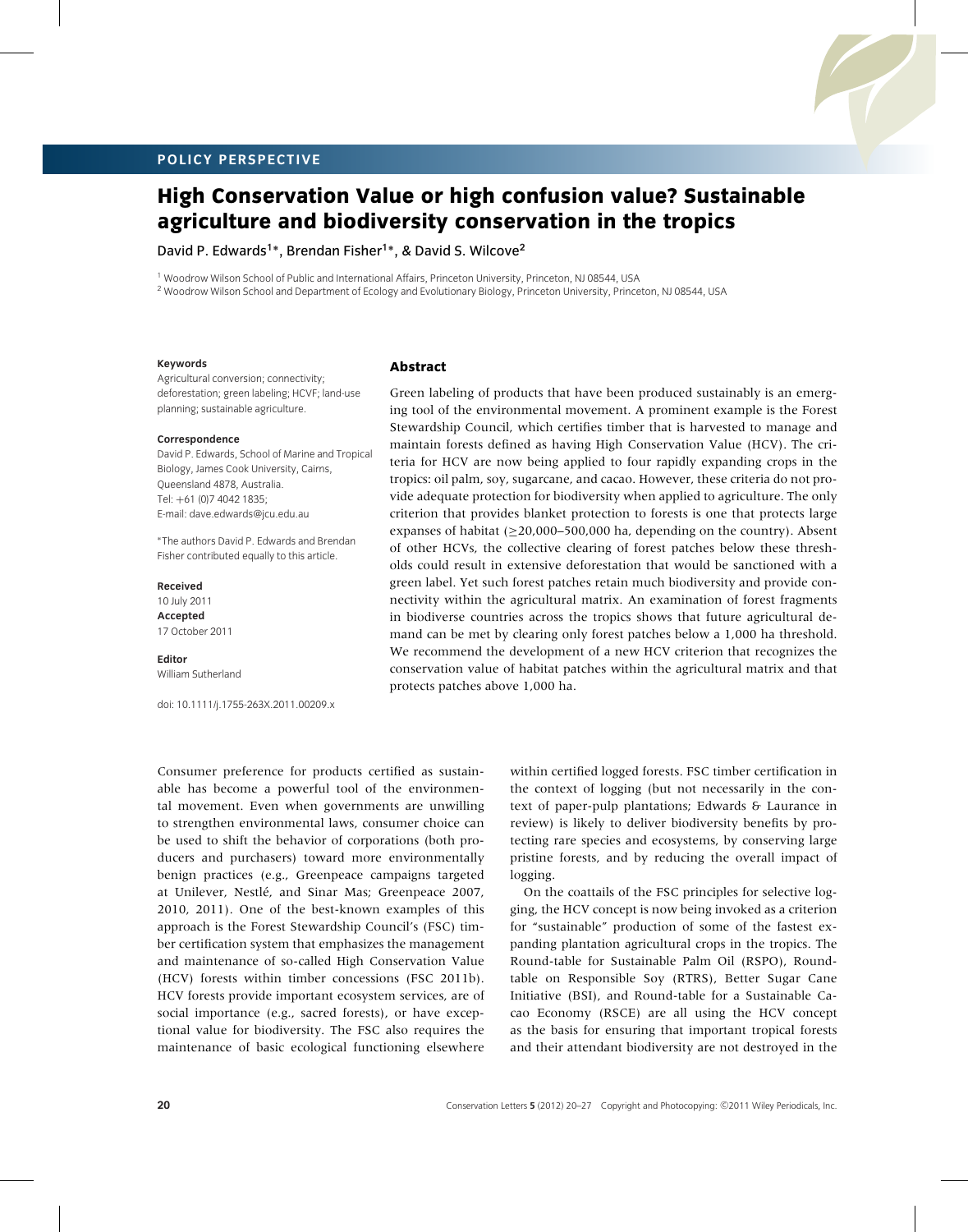### **POLICY PERSPECTIVE**



## **High Conservation Value or high confusion value? Sustainable agriculture and biodiversity conservation in the tropics**

David P. Edwards**<sup>1</sup>∗**, Brendan Fisher**<sup>1</sup>∗**, & David S. Wilcove**<sup>2</sup>**

<sup>1</sup> Woodrow Wilson School of Public and International Affairs, Princeton University, Princeton, NJ 08544, USA

<sup>2</sup> Woodrow Wilson School and Department of Ecology and Evolutionary Biology, Princeton University, Princeton, NJ 08544, USA

#### **Keywords**

#### **Abstract**

Agricultural conversion; connectivity; deforestation; green labeling; HCVF; land-use planning; sustainable agriculture.

#### **Correspondence**

David P. Edwards, School of Marine and Tropical Biology, James Cook University, Cairns, Queensland 4878, Australia. Tel: +61 (0)7 4042 1835; E-mail: dave.edwards@jcu.edu.au

∗The authors David P. Edwards and Brendan Fisher contributed equally to this article.

#### **Received**

10 July 2011 **Accepted** 17 October 2011

**Editor** William Sutherland

doi: 10.1111/j.1755-263X.2011.00209.x

Green labeling of products that have been produced sustainably is an emerging tool of the environmental movement. A prominent example is the Forest Stewardship Council, which certifies timber that is harvested to manage and maintain forests defined as having High Conservation Value (HCV). The criteria for HCV are now being applied to four rapidly expanding crops in the tropics: oil palm, soy, sugarcane, and cacao. However, these criteria do not provide adequate protection for biodiversity when applied to agriculture. The only criterion that provides blanket protection to forests is one that protects large expanses of habitat ( $\geq$ 20,000–500,000 ha, depending on the country). Absent of other HCVs, the collective clearing of forest patches below these thresholds could result in extensive deforestation that would be sanctioned with a green label. Yet such forest patches retain much biodiversity and provide connectivity within the agricultural matrix. An examination of forest fragments in biodiverse countries across the tropics shows that future agricultural demand can be met by clearing only forest patches below a 1,000 ha threshold. We recommend the development of a new HCV criterion that recognizes the conservation value of habitat patches within the agricultural matrix and that protects patches above 1,000 ha.

Consumer preference for products certified as sustainable has become a powerful tool of the environmental movement. Even when governments are unwilling to strengthen environmental laws, consumer choice can be used to shift the behavior of corporations (both producers and purchasers) toward more environmentally benign practices (e.g., Greenpeace campaigns targeted at Unilever, Nestlé, and Sinar Mas; Greenpeace 2007, 2010, 2011). One of the best-known examples of this approach is the Forest Stewardship Council's (FSC) timber certification system that emphasizes the management and maintenance of so-called High Conservation Value (HCV) forests within timber concessions (FSC 2011b). HCV forests provide important ecosystem services, are of social importance (e.g., sacred forests), or have exceptional value for biodiversity. The FSC also requires the maintenance of basic ecological functioning elsewhere

within certified logged forests. FSC timber certification in the context of logging (but not necessarily in the context of paper-pulp plantations; Edwards & Laurance in review) is likely to deliver biodiversity benefits by protecting rare species and ecosystems, by conserving large pristine forests, and by reducing the overall impact of logging.

On the coattails of the FSC principles for selective logging, the HCV concept is now being invoked as a criterion for "sustainable" production of some of the fastest expanding plantation agricultural crops in the tropics. The Round-table for Sustainable Palm Oil (RSPO), Roundtable on Responsible Soy (RTRS), Better Sugar Cane Initiative (BSI), and Round-table for a Sustainable Cacao Economy (RSCE) are all using the HCV concept as the basis for ensuring that important tropical forests and their attendant biodiversity are not destroyed in the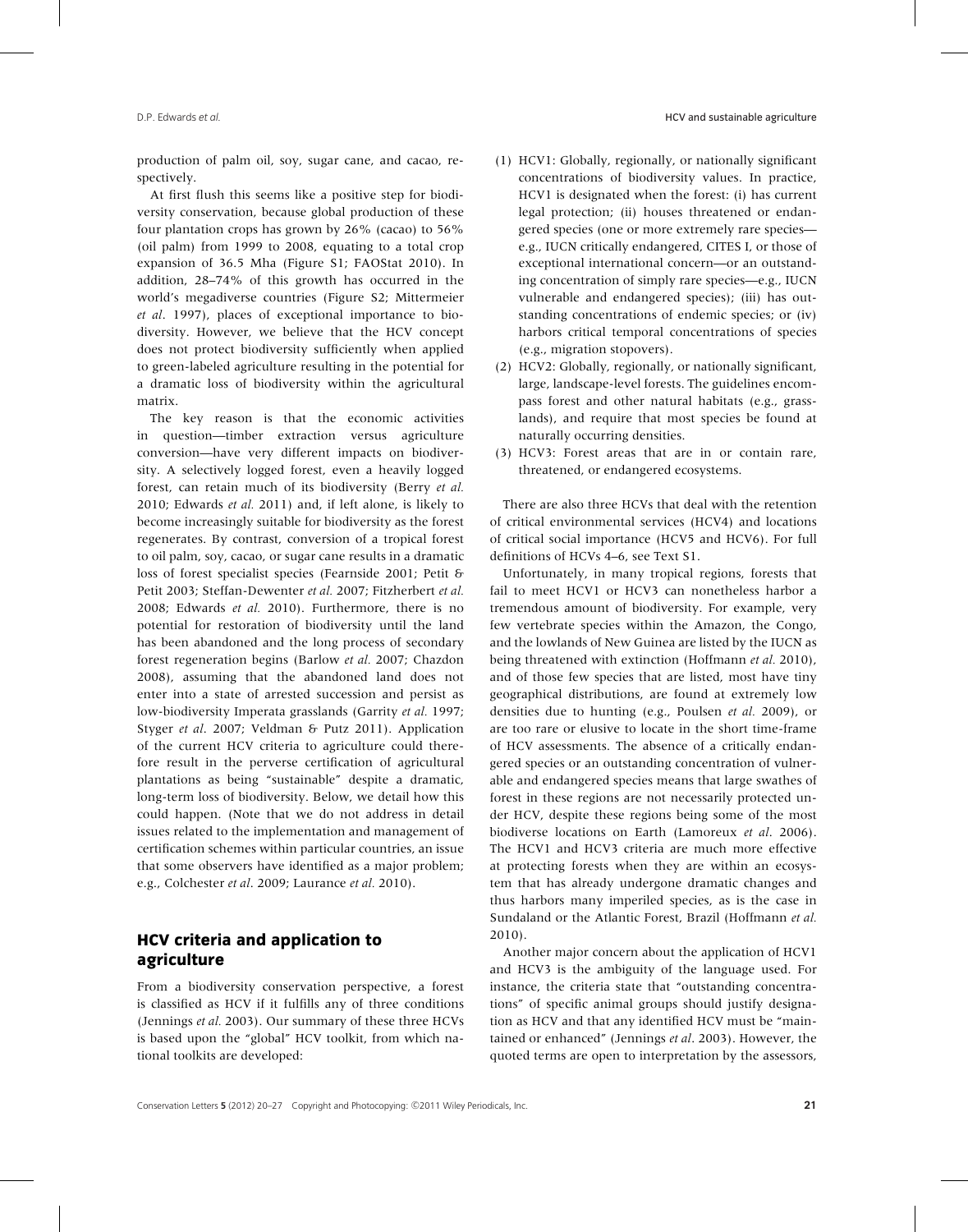production of palm oil, soy, sugar cane, and cacao, respectively.

At first flush this seems like a positive step for biodiversity conservation, because global production of these four plantation crops has grown by 26% (cacao) to 56% (oil palm) from 1999 to 2008, equating to a total crop expansion of 36.5 Mha (Figure S1; FAOStat 2010). In addition, 28–74% of this growth has occurred in the world's megadiverse countries (Figure S2; Mittermeier *et al*. 1997), places of exceptional importance to biodiversity. However, we believe that the HCV concept does not protect biodiversity sufficiently when applied to green-labeled agriculture resulting in the potential for a dramatic loss of biodiversity within the agricultural matrix.

The key reason is that the economic activities in question—timber extraction versus agriculture conversion—have very different impacts on biodiversity. A selectively logged forest, even a heavily logged forest, can retain much of its biodiversity (Berry *et al.* 2010; Edwards *et al.* 2011) and, if left alone, is likely to become increasingly suitable for biodiversity as the forest regenerates. By contrast, conversion of a tropical forest to oil palm, soy, cacao, or sugar cane results in a dramatic loss of forest specialist species (Fearnside 2001; Petit & Petit 2003; Steffan-Dewenter *et al.* 2007; Fitzherbert *et al.* 2008; Edwards *et al.* 2010). Furthermore, there is no potential for restoration of biodiversity until the land has been abandoned and the long process of secondary forest regeneration begins (Barlow *et al.* 2007; Chazdon 2008), assuming that the abandoned land does not enter into a state of arrested succession and persist as low-biodiversity Imperata grasslands (Garrity *et al.* 1997; Styger *et al*. 2007; Veldman & Putz 2011). Application of the current HCV criteria to agriculture could therefore result in the perverse certification of agricultural plantations as being "sustainable" despite a dramatic, long-term loss of biodiversity. Below, we detail how this could happen. (Note that we do not address in detail issues related to the implementation and management of certification schemes within particular countries, an issue that some observers have identified as a major problem; e.g., Colchester *et al*. 2009; Laurance *et al.* 2010).

## **HCV criteria and application to agriculture**

From a biodiversity conservation perspective, a forest is classified as HCV if it fulfills any of three conditions (Jennings *et al.* 2003). Our summary of these three HCVs is based upon the "global" HCV toolkit, from which national toolkits are developed:

- (1) HCV1: Globally, regionally, or nationally significant concentrations of biodiversity values. In practice, HCV1 is designated when the forest: (i) has current legal protection; (ii) houses threatened or endangered species (one or more extremely rare species e.g., IUCN critically endangered, CITES I, or those of exceptional international concern—or an outstanding concentration of simply rare species—e.g., IUCN vulnerable and endangered species); (iii) has outstanding concentrations of endemic species; or (iv) harbors critical temporal concentrations of species (e.g., migration stopovers).
- (2) HCV2: Globally, regionally, or nationally significant, large, landscape-level forests. The guidelines encompass forest and other natural habitats (e.g., grasslands), and require that most species be found at naturally occurring densities.
- (3) HCV3: Forest areas that are in or contain rare, threatened, or endangered ecosystems.

There are also three HCVs that deal with the retention of critical environmental services (HCV4) and locations of critical social importance (HCV5 and HCV6). For full definitions of HCVs 4–6, see Text S1.

Unfortunately, in many tropical regions, forests that fail to meet HCV1 or HCV3 can nonetheless harbor a tremendous amount of biodiversity. For example, very few vertebrate species within the Amazon, the Congo, and the lowlands of New Guinea are listed by the IUCN as being threatened with extinction (Hoffmann *et al.* 2010), and of those few species that are listed, most have tiny geographical distributions, are found at extremely low densities due to hunting (e.g., Poulsen *et al.* 2009), or are too rare or elusive to locate in the short time-frame of HCV assessments. The absence of a critically endangered species or an outstanding concentration of vulnerable and endangered species means that large swathes of forest in these regions are not necessarily protected under HCV, despite these regions being some of the most biodiverse locations on Earth (Lamoreux *et al*. 2006). The HCV1 and HCV3 criteria are much more effective at protecting forests when they are within an ecosystem that has already undergone dramatic changes and thus harbors many imperiled species, as is the case in Sundaland or the Atlantic Forest, Brazil (Hoffmann *et al.* 2010).

Another major concern about the application of HCV1 and HCV3 is the ambiguity of the language used. For instance, the criteria state that "outstanding concentrations" of specific animal groups should justify designation as HCV and that any identified HCV must be "maintained or enhanced" (Jennings *et al*. 2003). However, the quoted terms are open to interpretation by the assessors,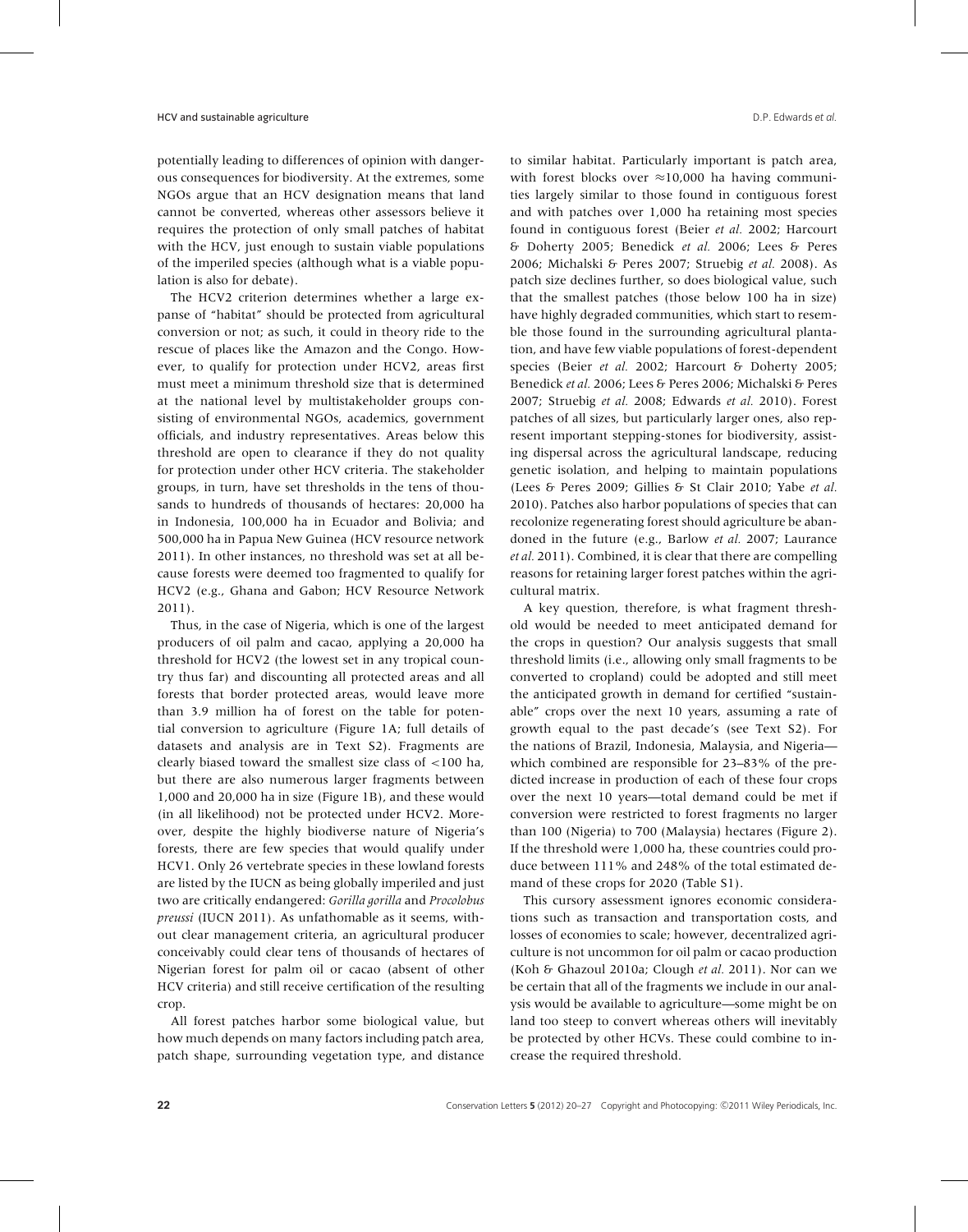potentially leading to differences of opinion with dangerous consequences for biodiversity. At the extremes, some NGOs argue that an HCV designation means that land cannot be converted, whereas other assessors believe it requires the protection of only small patches of habitat with the HCV, just enough to sustain viable populations of the imperiled species (although what is a viable population is also for debate).

The HCV2 criterion determines whether a large expanse of "habitat" should be protected from agricultural conversion or not; as such, it could in theory ride to the rescue of places like the Amazon and the Congo. However, to qualify for protection under HCV2, areas first must meet a minimum threshold size that is determined at the national level by multistakeholder groups consisting of environmental NGOs, academics, government officials, and industry representatives. Areas below this threshold are open to clearance if they do not quality for protection under other HCV criteria. The stakeholder groups, in turn, have set thresholds in the tens of thousands to hundreds of thousands of hectares: 20,000 ha in Indonesia, 100,000 ha in Ecuador and Bolivia; and 500,000 ha in Papua New Guinea (HCV resource network 2011). In other instances, no threshold was set at all because forests were deemed too fragmented to qualify for HCV2 (e.g., Ghana and Gabon; HCV Resource Network 2011).

Thus, in the case of Nigeria, which is one of the largest producers of oil palm and cacao, applying a 20,000 ha threshold for HCV2 (the lowest set in any tropical country thus far) and discounting all protected areas and all forests that border protected areas, would leave more than 3.9 million ha of forest on the table for potential conversion to agriculture (Figure 1A; full details of datasets and analysis are in Text S2). Fragments are clearly biased toward the smallest size class of <100 ha, but there are also numerous larger fragments between 1,000 and 20,000 ha in size (Figure 1B), and these would (in all likelihood) not be protected under HCV2. Moreover, despite the highly biodiverse nature of Nigeria's forests, there are few species that would qualify under HCV1. Only 26 vertebrate species in these lowland forests are listed by the IUCN as being globally imperiled and just two are critically endangered: *Gorilla gorilla* and *Procolobus preussi* (IUCN 2011). As unfathomable as it seems, without clear management criteria, an agricultural producer conceivably could clear tens of thousands of hectares of Nigerian forest for palm oil or cacao (absent of other HCV criteria) and still receive certification of the resulting crop.

All forest patches harbor some biological value, but how much depends on many factors including patch area, patch shape, surrounding vegetation type, and distance to similar habitat. Particularly important is patch area, with forest blocks over  $\approx$ 10,000 ha having communities largely similar to those found in contiguous forest and with patches over 1,000 ha retaining most species found in contiguous forest (Beier *et al.* 2002; Harcourt & Doherty 2005; Benedick *et al.* 2006; Lees & Peres 2006; Michalski & Peres 2007; Struebig *et al.* 2008). As patch size declines further, so does biological value, such that the smallest patches (those below 100 ha in size) have highly degraded communities, which start to resemble those found in the surrounding agricultural plantation, and have few viable populations of forest-dependent species (Beier *et al.* 2002; Harcourt & Doherty 2005; Benedick *et al.* 2006; Lees & Peres 2006; Michalski & Peres 2007; Struebig *et al.* 2008; Edwards *et al.* 2010). Forest patches of all sizes, but particularly larger ones, also represent important stepping-stones for biodiversity, assisting dispersal across the agricultural landscape, reducing genetic isolation, and helping to maintain populations (Lees & Peres 2009; Gillies & St Clair 2010; Yabe *et al.* 2010). Patches also harbor populations of species that can recolonize regenerating forest should agriculture be abandoned in the future (e.g., Barlow *et al.* 2007; Laurance *et al.* 2011). Combined, it is clear that there are compelling reasons for retaining larger forest patches within the agricultural matrix.

A key question, therefore, is what fragment threshold would be needed to meet anticipated demand for the crops in question? Our analysis suggests that small threshold limits (i.e., allowing only small fragments to be converted to cropland) could be adopted and still meet the anticipated growth in demand for certified "sustainable" crops over the next 10 years, assuming a rate of growth equal to the past decade's (see Text S2). For the nations of Brazil, Indonesia, Malaysia, and Nigeria which combined are responsible for 23–83% of the predicted increase in production of each of these four crops over the next 10 years—total demand could be met if conversion were restricted to forest fragments no larger than 100 (Nigeria) to 700 (Malaysia) hectares (Figure 2). If the threshold were 1,000 ha, these countries could produce between 111% and 248% of the total estimated demand of these crops for 2020 (Table S1).

This cursory assessment ignores economic considerations such as transaction and transportation costs, and losses of economies to scale; however, decentralized agriculture is not uncommon for oil palm or cacao production (Koh & Ghazoul 2010a; Clough *et al.* 2011). Nor can we be certain that all of the fragments we include in our analysis would be available to agriculture—some might be on land too steep to convert whereas others will inevitably be protected by other HCVs. These could combine to increase the required threshold.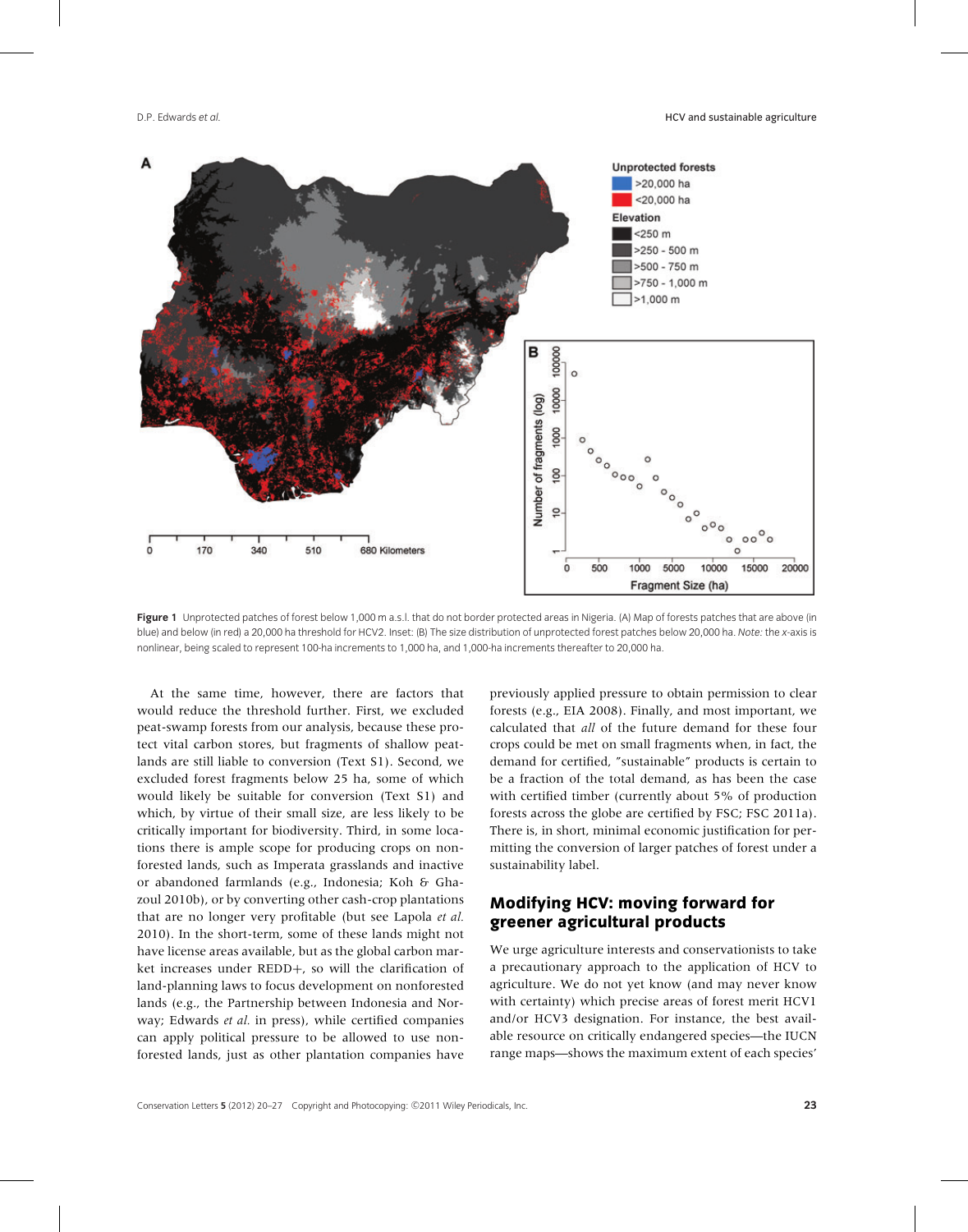

**Figure 1** Unprotected patches of forest below 1,000 m a.s.l. that do not border protected areas in Nigeria. (A) Map of forests patches that are above (in blue) and below (in red) a 20,000 ha threshold for HCV2. Inset: (B) The size distribution of unprotected forest patches below 20,000 ha. *Note:* the *x*-axis is nonlinear, being scaled to represent 100-ha increments to 1,000 ha, and 1,000-ha increments thereafter to 20,000 ha.

At the same time, however, there are factors that would reduce the threshold further. First, we excluded peat-swamp forests from our analysis, because these protect vital carbon stores, but fragments of shallow peatlands are still liable to conversion (Text S1). Second, we excluded forest fragments below 25 ha, some of which would likely be suitable for conversion (Text S1) and which, by virtue of their small size, are less likely to be critically important for biodiversity. Third, in some locations there is ample scope for producing crops on nonforested lands, such as Imperata grasslands and inactive or abandoned farmlands (e.g., Indonesia; Koh & Ghazoul 2010b), or by converting other cash-crop plantations that are no longer very profitable (but see Lapola *et al.* 2010). In the short-term, some of these lands might not have license areas available, but as the global carbon market increases under REDD+, so will the clarification of land-planning laws to focus development on nonforested lands (e.g., the Partnership between Indonesia and Norway; Edwards *et al.* in press), while certified companies can apply political pressure to be allowed to use nonforested lands, just as other plantation companies have

previously applied pressure to obtain permission to clear forests (e.g., EIA 2008). Finally, and most important, we calculated that *all* of the future demand for these four crops could be met on small fragments when, in fact, the demand for certified, "sustainable" products is certain to be a fraction of the total demand, as has been the case with certified timber (currently about 5% of production forests across the globe are certified by FSC; FSC 2011a). There is, in short, minimal economic justification for permitting the conversion of larger patches of forest under a sustainability label.

## **Modifying HCV: moving forward for greener agricultural products**

We urge agriculture interests and conservationists to take a precautionary approach to the application of HCV to agriculture. We do not yet know (and may never know with certainty) which precise areas of forest merit HCV1 and/or HCV3 designation. For instance, the best available resource on critically endangered species—the IUCN range maps—shows the maximum extent of each species'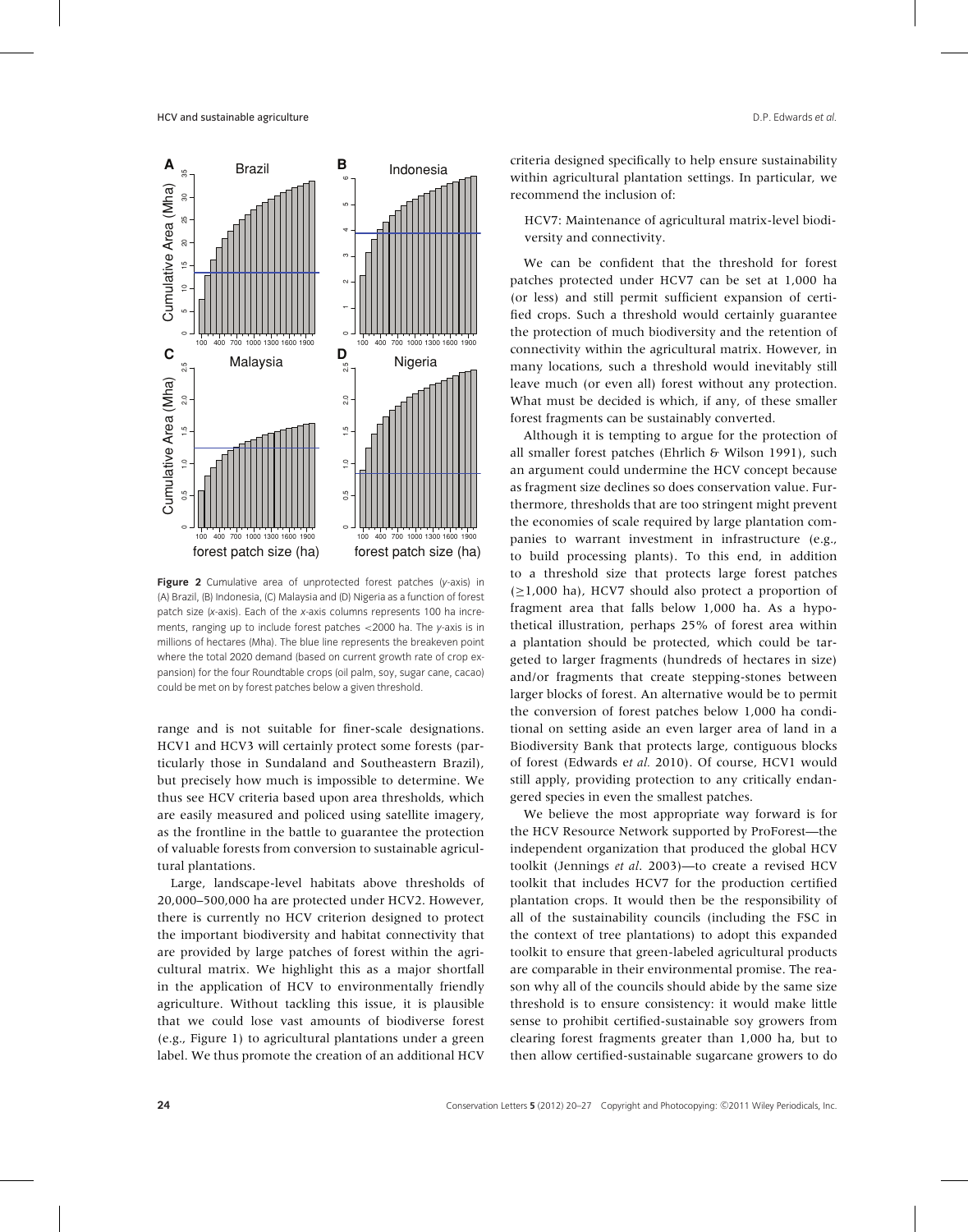

**Figure 2** Cumulative area of unprotected forest patches (*y*-axis) in (A) Brazil, (B) Indonesia, (C) Malaysia and (D) Nigeria as a function of forest patch size (*x*-axis). Each of the *x*-axis columns represents 100 ha increments, ranging up to include forest patches <2000 ha. The *y*-axis is in millions of hectares (Mha). The blue line represents the breakeven point where the total 2020 demand (based on current growth rate of crop expansion) for the four Roundtable crops (oil palm, soy, sugar cane, cacao) could be met on by forest patches below a given threshold.

range and is not suitable for finer-scale designations. HCV1 and HCV3 will certainly protect some forests (particularly those in Sundaland and Southeastern Brazil), but precisely how much is impossible to determine. We thus see HCV criteria based upon area thresholds, which are easily measured and policed using satellite imagery, as the frontline in the battle to guarantee the protection of valuable forests from conversion to sustainable agricultural plantations.

Large, landscape-level habitats above thresholds of 20,000–500,000 ha are protected under HCV2. However, there is currently no HCV criterion designed to protect the important biodiversity and habitat connectivity that are provided by large patches of forest within the agricultural matrix. We highlight this as a major shortfall in the application of HCV to environmentally friendly agriculture. Without tackling this issue, it is plausible that we could lose vast amounts of biodiverse forest (e.g., Figure 1) to agricultural plantations under a green label. We thus promote the creation of an additional HCV

criteria designed specifically to help ensure sustainability within agricultural plantation settings. In particular, we recommend the inclusion of:

HCV7: Maintenance of agricultural matrix-level biodiversity and connectivity.

We can be confident that the threshold for forest patches protected under HCV7 can be set at 1,000 ha (or less) and still permit sufficient expansion of certified crops. Such a threshold would certainly guarantee the protection of much biodiversity and the retention of connectivity within the agricultural matrix. However, in many locations, such a threshold would inevitably still leave much (or even all) forest without any protection. What must be decided is which, if any, of these smaller forest fragments can be sustainably converted.

Although it is tempting to argue for the protection of all smaller forest patches (Ehrlich & Wilson 1991), such an argument could undermine the HCV concept because as fragment size declines so does conservation value. Furthermore, thresholds that are too stringent might prevent the economies of scale required by large plantation companies to warrant investment in infrastructure (e.g., to build processing plants). To this end, in addition to a threshold size that protects large forest patches  $(\geq1,000$  ha), HCV7 should also protect a proportion of fragment area that falls below 1,000 ha. As a hypothetical illustration, perhaps 25% of forest area within a plantation should be protected, which could be targeted to larger fragments (hundreds of hectares in size) and/or fragments that create stepping-stones between larger blocks of forest. An alternative would be to permit the conversion of forest patches below 1,000 ha conditional on setting aside an even larger area of land in a Biodiversity Bank that protects large, contiguous blocks of forest (Edwards e*t al.* 2010). Of course, HCV1 would still apply, providing protection to any critically endangered species in even the smallest patches.

We believe the most appropriate way forward is for the HCV Resource Network supported by ProForest—the independent organization that produced the global HCV toolkit (Jennings *et al*. 2003)—to create a revised HCV toolkit that includes HCV7 for the production certified plantation crops. It would then be the responsibility of all of the sustainability councils (including the FSC in the context of tree plantations) to adopt this expanded toolkit to ensure that green-labeled agricultural products are comparable in their environmental promise. The reason why all of the councils should abide by the same size threshold is to ensure consistency: it would make little sense to prohibit certified-sustainable soy growers from clearing forest fragments greater than 1,000 ha, but to then allow certified-sustainable sugarcane growers to do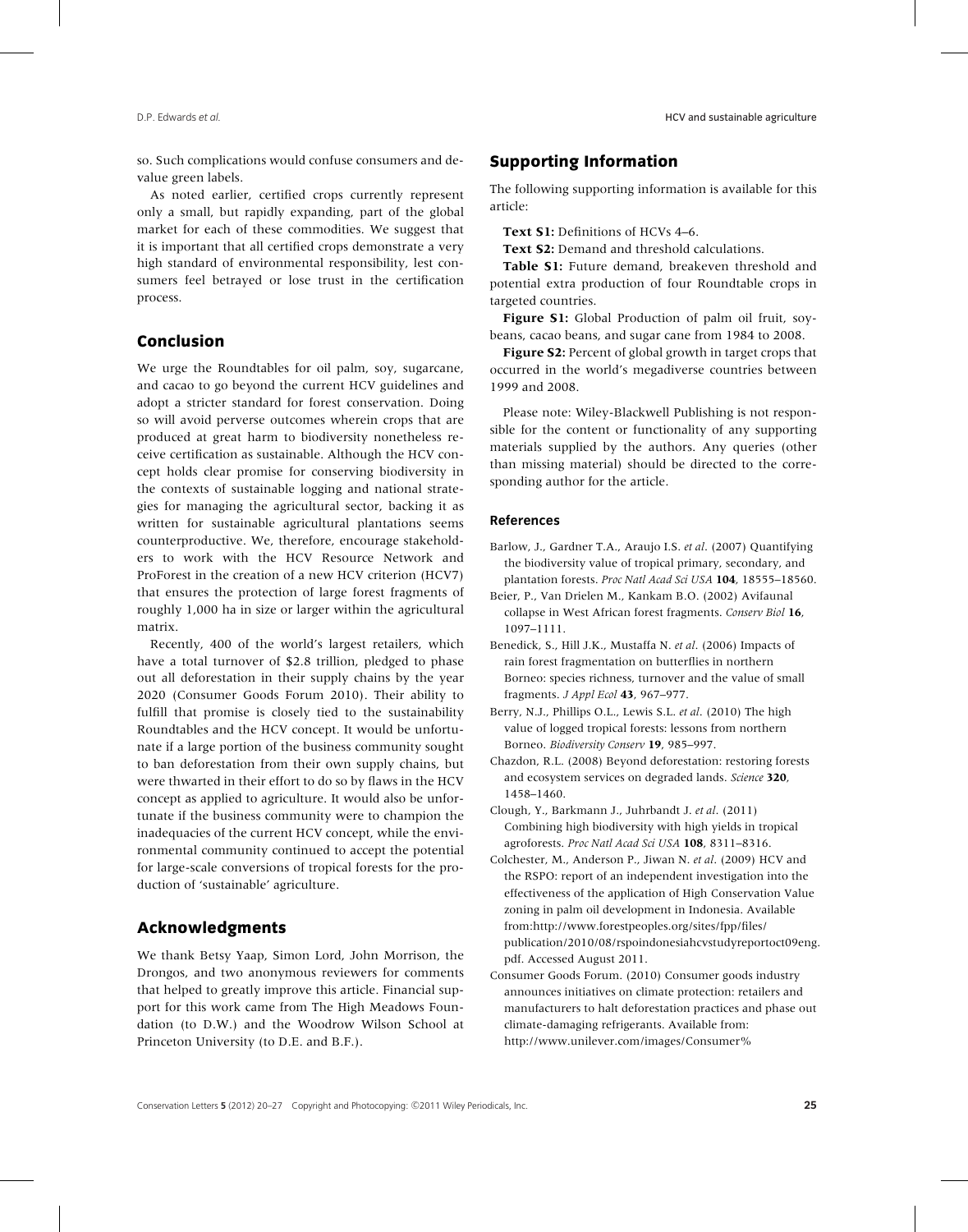so. Such complications would confuse consumers and devalue green labels.

As noted earlier, certified crops currently represent only a small, but rapidly expanding, part of the global market for each of these commodities. We suggest that it is important that all certified crops demonstrate a very high standard of environmental responsibility, lest consumers feel betrayed or lose trust in the certification process.

## **Conclusion**

We urge the Roundtables for oil palm, soy, sugarcane, and cacao to go beyond the current HCV guidelines and adopt a stricter standard for forest conservation. Doing so will avoid perverse outcomes wherein crops that are produced at great harm to biodiversity nonetheless receive certification as sustainable. Although the HCV concept holds clear promise for conserving biodiversity in the contexts of sustainable logging and national strategies for managing the agricultural sector, backing it as written for sustainable agricultural plantations seems counterproductive. We, therefore, encourage stakeholders to work with the HCV Resource Network and ProForest in the creation of a new HCV criterion (HCV7) that ensures the protection of large forest fragments of roughly 1,000 ha in size or larger within the agricultural matrix.

Recently, 400 of the world's largest retailers, which have a total turnover of \$2.8 trillion, pledged to phase out all deforestation in their supply chains by the year 2020 (Consumer Goods Forum 2010). Their ability to fulfill that promise is closely tied to the sustainability Roundtables and the HCV concept. It would be unfortunate if a large portion of the business community sought to ban deforestation from their own supply chains, but were thwarted in their effort to do so by flaws in the HCV concept as applied to agriculture. It would also be unfortunate if the business community were to champion the inadequacies of the current HCV concept, while the environmental community continued to accept the potential for large-scale conversions of tropical forests for the production of 'sustainable' agriculture.

### **Acknowledgments**

We thank Betsy Yaap, Simon Lord, John Morrison, the Drongos, and two anonymous reviewers for comments that helped to greatly improve this article. Financial support for this work came from The High Meadows Foundation (to D.W.) and the Woodrow Wilson School at Princeton University (to D.E. and B.F.).

## **Supporting Information**

The following supporting information is available for this article:

**Text S1:** Definitions of HCVs 4–6.

**Text S2:** Demand and threshold calculations.

**Table S1:** Future demand, breakeven threshold and potential extra production of four Roundtable crops in targeted countries.

**Figure S1:** Global Production of palm oil fruit, soybeans, cacao beans, and sugar cane from 1984 to 2008.

**Figure S2:** Percent of global growth in target crops that occurred in the world's megadiverse countries between 1999 and 2008.

Please note: Wiley-Blackwell Publishing is not responsible for the content or functionality of any supporting materials supplied by the authors. Any queries (other than missing material) should be directed to the corresponding author for the article.

#### **References**

- Barlow, J., Gardner T.A., Araujo I.S. *et al*. (2007) Quantifying the biodiversity value of tropical primary, secondary, and plantation forests. *Proc Natl Acad Sci USA* **104**, 18555–18560.
- Beier, P., Van Drielen M., Kankam B.O. (2002) Avifaunal collapse in West African forest fragments. *Conserv Biol* **16**, 1097–1111.
- Benedick, S., Hill J.K., Mustaffa N. *et al*. (2006) Impacts of rain forest fragmentation on butterflies in northern Borneo: species richness, turnover and the value of small fragments. *J Appl Ecol* **43**, 967–977.
- Berry, N.J., Phillips O.L., Lewis S.L. *et al*. (2010) The high value of logged tropical forests: lessons from northern Borneo. *Biodiversity Conserv* **19**, 985–997.

Chazdon, R.L. (2008) Beyond deforestation: restoring forests and ecosystem services on degraded lands. *Science* **320**, 1458–1460.

- Clough, Y., Barkmann J., Juhrbandt J. *et al*. (2011) Combining high biodiversity with high yields in tropical agroforests. *Proc Natl Acad Sci USA* **108**, 8311–8316.
- Colchester, M., Anderson P., Jiwan N. *et al*. (2009) HCV and the RSPO: report of an independent investigation into the effectiveness of the application of High Conservation Value zoning in palm oil development in Indonesia. Available from:http://www.forestpeoples.org/sites/fpp/files/ publication/2010/08/rspoindonesiahcvstudyreportoct09eng. pdf. Accessed August 2011.
- Consumer Goods Forum. (2010) Consumer goods industry announces initiatives on climate protection: retailers and manufacturers to halt deforestation practices and phase out climate-damaging refrigerants. Available from: http://www.unilever.com/images/Consumer%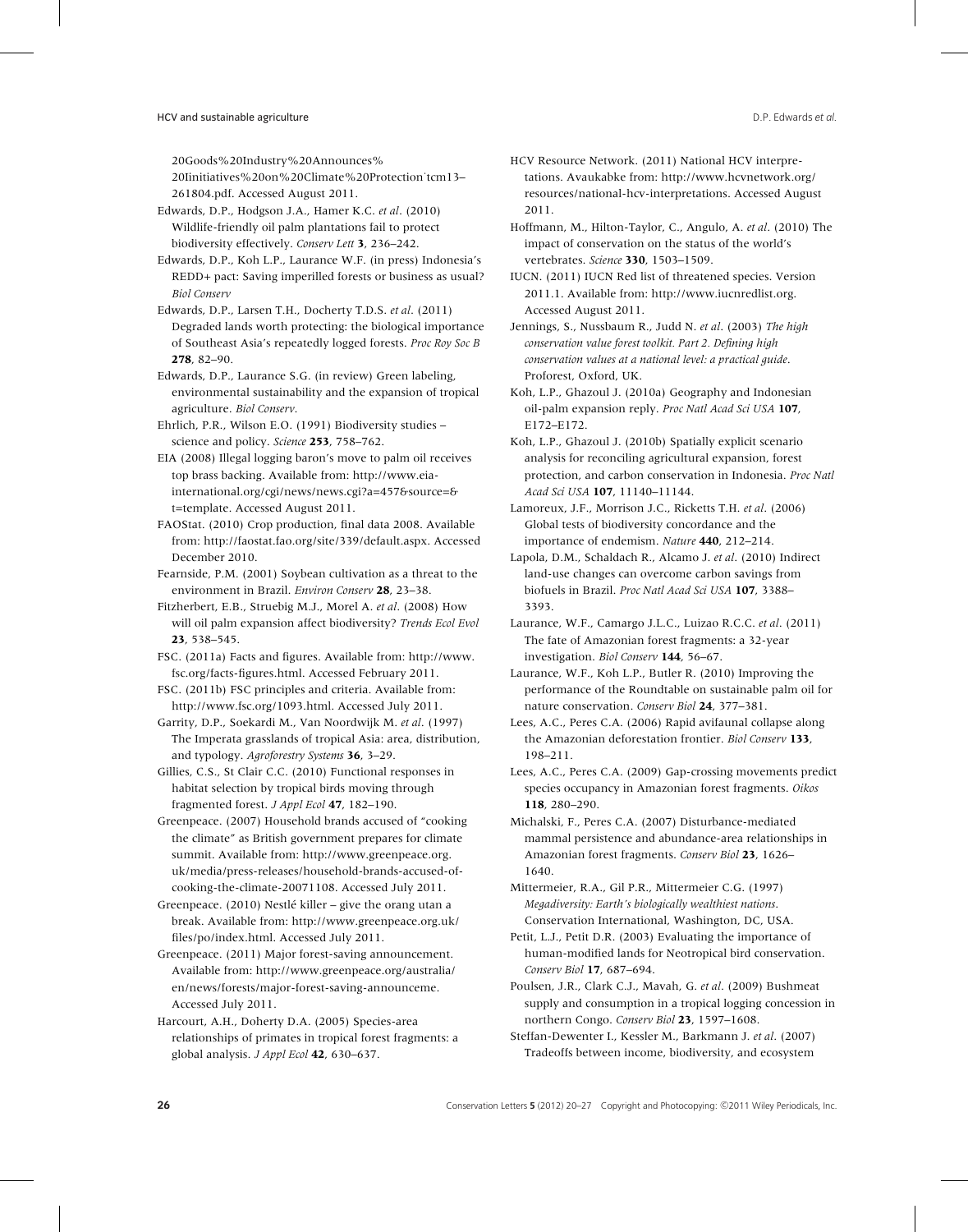20Goods%20Industry%20Announces%

20Iinitiatives%20on%20Climate%20Protection˙tcm13– 261804.pdf. Accessed August 2011.

- Edwards, D.P., Hodgson J.A., Hamer K.C. *et al*. (2010) Wildlife-friendly oil palm plantations fail to protect biodiversity effectively. *Conserv Lett* **3**, 236–242.
- Edwards, D.P., Koh L.P., Laurance W.F. (in press) Indonesia's REDD+ pact: Saving imperilled forests or business as usual? *Biol Conserv*
- Edwards, D.P., Larsen T.H., Docherty T.D.S. *et al*. (2011) Degraded lands worth protecting: the biological importance of Southeast Asia's repeatedly logged forests. *Proc Roy Soc B* **278**, 82–90.
- Edwards, D.P., Laurance S.G. (in review) Green labeling, environmental sustainability and the expansion of tropical agriculture. *Biol Conserv*.

Ehrlich, P.R., Wilson E.O. (1991) Biodiversity studies – science and policy. *Science* **253**, 758–762.

- EIA (2008) Illegal logging baron's move to palm oil receives top brass backing. Available from: http://www.eiainternational.org/cgi/news/news.cgi?a=457&source=& t=template. Accessed August 2011.
- FAOStat. (2010) Crop production, final data 2008. Available from: http://faostat.fao.org/site/339/default.aspx. Accessed December 2010.

Fearnside, P.M. (2001) Soybean cultivation as a threat to the environment in Brazil. *Environ Conserv* **28**, 23–38.

Fitzherbert, E.B., Struebig M.J., Morel A. *et al*. (2008) How will oil palm expansion affect biodiversity? *Trends Ecol Evol* **23**, 538–545.

- FSC. (2011a) Facts and figures. Available from: http://www. fsc.org/facts-figures.html. Accessed February 2011.
- FSC. (2011b) FSC principles and criteria. Available from: http://www.fsc.org/1093.html. Accessed July 2011.
- Garrity, D.P., Soekardi M., Van Noordwijk M. *et al*. (1997) The Imperata grasslands of tropical Asia: area, distribution, and typology. *Agroforestry Systems* **36**, 3–29.

Gillies, C.S., St Clair C.C. (2010) Functional responses in habitat selection by tropical birds moving through fragmented forest. *J Appl Ecol* **47**, 182–190.

Greenpeace. (2007) Household brands accused of "cooking the climate" as British government prepares for climate summit. Available from: http://www.greenpeace.org. uk/media/press-releases/household-brands-accused-ofcooking-the-climate-20071108. Accessed July 2011.

Greenpeace.  $(2010)$  Nestlé killer – give the orang utan a break. Available from: http://www.greenpeace.org.uk/ files/po/index.html. Accessed July 2011.

Greenpeace. (2011) Major forest-saving announcement. Available from: http://www.greenpeace.org/australia/ en/news/forests/major-forest-saving-announceme. Accessed July 2011.

Harcourt, A.H., Doherty D.A. (2005) Species-area relationships of primates in tropical forest fragments: a global analysis. *J Appl Ecol* **42**, 630–637.

- HCV Resource Network. (2011) National HCV interpretations. Avaukabke from: http://www.hcvnetwork.org/ resources/national-hcv-interpretations. Accessed August 2011.
- Hoffmann, M., Hilton-Taylor, C., Angulo, A. *et al*. (2010) The impact of conservation on the status of the world's vertebrates. *Science* **330**, 1503–1509.

IUCN. (2011) IUCN Red list of threatened species. Version 2011.1. Available from: http://www.iucnredlist.org. Accessed August 2011.

Jennings, S., Nussbaum R., Judd N. *et al*. (2003) *The high conservation value forest toolkit. Part 2. Defining high conservation values at a national level: a practical guide*. Proforest, Oxford, UK.

- Koh, L.P., Ghazoul J. (2010a) Geography and Indonesian oil-palm expansion reply. *Proc Natl Acad Sci USA* **107**, E172–E172.
- Koh, L.P., Ghazoul J. (2010b) Spatially explicit scenario analysis for reconciling agricultural expansion, forest protection, and carbon conservation in Indonesia. *Proc Natl Acad Sci USA* **107**, 11140–11144.

Lamoreux, J.F., Morrison J.C., Ricketts T.H. *et al*. (2006) Global tests of biodiversity concordance and the importance of endemism. *Nature* **440**, 212–214.

- Lapola, D.M., Schaldach R., Alcamo J. *et al*. (2010) Indirect land-use changes can overcome carbon savings from biofuels in Brazil. *Proc Natl Acad Sci USA* **107**, 3388– 3393.
- Laurance, W.F., Camargo J.L.C., Luizao R.C.C. *et al*. (2011) The fate of Amazonian forest fragments: a 32-year investigation. *Biol Conserv* **144**, 56–67.
- Laurance, W.F., Koh L.P., Butler R. (2010) Improving the performance of the Roundtable on sustainable palm oil for nature conservation. *Conserv Biol* **24**, 377–381.
- Lees, A.C., Peres C.A. (2006) Rapid avifaunal collapse along the Amazonian deforestation frontier. *Biol Conserv* **133**, 198–211.
- Lees, A.C., Peres C.A. (2009) Gap-crossing movements predict species occupancy in Amazonian forest fragments. *Oikos* **118**, 280–290.

Michalski, F., Peres C.A. (2007) Disturbance-mediated mammal persistence and abundance-area relationships in Amazonian forest fragments. *Conserv Biol* **23**, 1626– 1640.

Mittermeier, R.A., Gil P.R., Mittermeier C.G. (1997) *Megadiversity: Earth's biologically wealthiest nations*. Conservation International, Washington, DC, USA.

- Petit, L.J., Petit D.R. (2003) Evaluating the importance of human-modified lands for Neotropical bird conservation. *Conserv Biol* **17**, 687–694.
- Poulsen, J.R., Clark C.J., Mavah, G. *et al*. (2009) Bushmeat supply and consumption in a tropical logging concession in northern Congo. *Conserv Biol* **23**, 1597–1608.
- Steffan-Dewenter I., Kessler M., Barkmann J. *et al*. (2007) Tradeoffs between income, biodiversity, and ecosystem